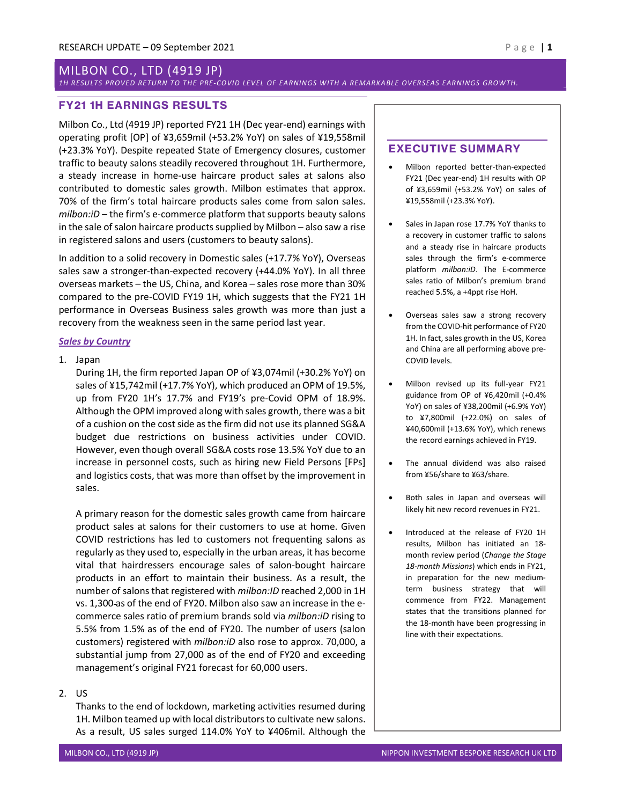# MILBON CO., LTD (4919 JP)

# 1H RESULTS PROVED RETURN TO THE PRE-COVID LEVEL OF EARNINGS WITH A REMARKA BLE OVERSEAS EARNINGS GROWTH.

# FY21 1H EARNINGS RESULTS

Milbon Co., Ltd (4919 JP) reported FY21 1H (Dec year-end) earnings with operating profit [OP] of ¥3,659mil (+53.2% YoY) on sales of ¥19,558mil (+23.3% YoY). Despite repeated State of Emergency closures, customer traffic to beauty salons steadily recovered throughout 1H. Furthermore, a steady increase in home-use haircare product sales at salons also contributed to domestic sales growth. Milbon estimates that approx. 70% of the firm's total haircare products sales come from salon sales.  $milbon:iD$  – the firm's e-commerce platform that supports beauty salons in the sale of salon haircare products supplied by Milbon – also saw a rise in registered salons and users (customers to beauty salons).

In addition to a solid recovery in Domestic sales (+17.7% YoY), Overseas sales saw a stronger-than-expected recovery (+44.0% YoY). In all three overseas markets – the US, China, and Korea – sales rose more than 30% compared to the pre-COVID FY19 1H, which suggests that the FY21 1H performance in Overseas Business sales growth was more than just a recovery from the weakness seen in the same period last year.

# **Sales by Country**

### 1. Japan

During 1H, the firm reported Japan OP of ¥3,074mil (+30.2% YoY) on sales of ¥15,742mil (+17.7% YoY), which produced an OPM of 19.5%, up from FY20 1H's 17.7% and FY19's pre-Covid OPM of 18.9%. Although the OPM improved along with sales growth, there was a bit of a cushion on the cost side as the firm did not use its planned SG&A budget due restrictions on business activities under COVID. However, even though overall SG&A costs rose 13.5% YoY due to an increase in personnel costs, such as hiring new Field Persons [FPs] and logistics costs, that was more than offset by the improvement in sales.

A primary reason for the domestic sales growth came from haircare product sales at salons for their customers to use at home. Given COVID restrictions has led to customers not frequenting salons as regularly as they used to, especially in the urban areas, it has become vital that hairdressers encourage sales of salon-bought haircare products in an effort to maintain their business. As a result, the number of salons that registered with milbon:ID reached 2,000 in 1H vs. 1,300 as of the end of FY20. Milbon also saw an increase in the ecommerce sales ratio of premium brands sold via milbon:iD rising to 5.5% from 1.5% as of the end of FY20. The number of users (salon customers) registered with milbon:iD also rose to approx. 70,000, a substantial jump from 27,000 as of the end of FY20 and exceeding management's original FY21 forecast for 60,000 users.

# 2. US

Thanks to the end of lockdown, marketing activities resumed during 1H. Milbon teamed up with local distributors to cultivate new salons. As a result, US sales surged 114.0% YoY to ¥406mil. Although the

# EXECUTIVE SUMMARY

- Milbon reported better-than-expected FY21 (Dec year-end) 1H results with OP of ¥3,659mil (+53.2% YoY) on sales of ¥19,558mil (+23.3% YoY).
- Sales in Japan rose 17.7% YoY thanks to a recovery in customer traffic to salons and a steady rise in haircare products sales through the firm's e-commerce platform milbon:iD. The E-commerce sales ratio of Milbon's premium brand reached 5.5%, a +4ppt rise HoH.
- Overseas sales saw a strong recovery from the COVID-hit performance of FY20 1H. In fact, sales growth in the US, Korea and China are all performing above pre-COVID levels.
- Milbon revised up its full-year FY21 guidance from OP of ¥6,420mil (+0.4% YoY) on sales of ¥38,200mil (+6.9% YoY) to ¥7,800mil (+22.0%) on sales of ¥40,600mil (+13.6% YoY), which renews the record earnings achieved in FY19.
- The annual dividend was also raised from ¥56/share to ¥63/share.
- Both sales in Japan and overseas will likely hit new record revenues in FY21.
- Introduced at the release of FY20 1H results, Milbon has initiated an 18 month review period (Change the Stage 18-month Missions) which ends in FY21, in preparation for the new mediumterm business strategy that will commence from FY22. Management states that the transitions planned for the 18-month have been progressing in line with their expectations.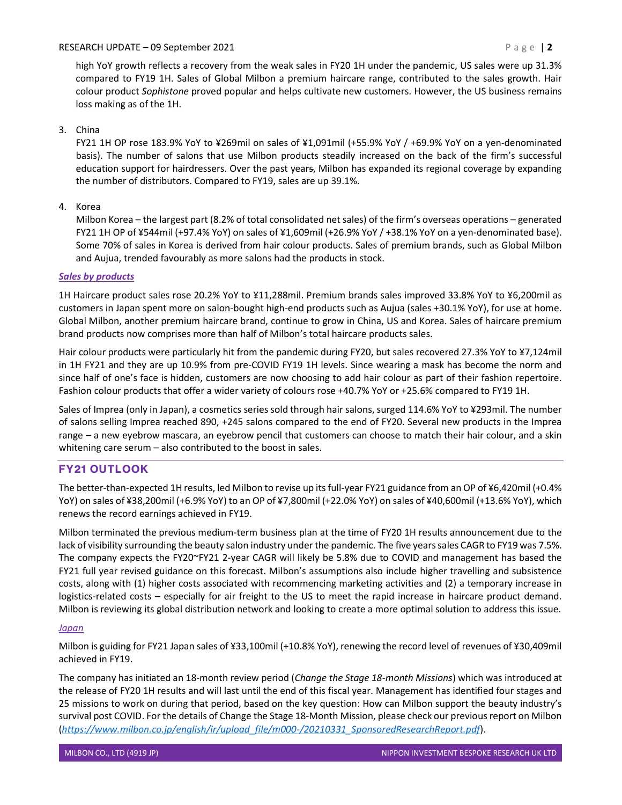# RESEARCH UPDATE – 09 September 2021  $P a g e$  | 2

high YoY growth reflects a recovery from the weak sales in FY20 1H under the pandemic, US sales were up 31.3% compared to FY19 1H. Sales of Global Milbon a premium haircare range, contributed to the sales growth. Hair colour product Sophistone proved popular and helps cultivate new customers. However, the US business remains loss making as of the 1H.

# 3. China

FY21 1H OP rose 183.9% YoY to ¥269mil on sales of ¥1,091mil (+55.9% YoY / +69.9% YoY on a yen-denominated basis). The number of salons that use Milbon products steadily increased on the back of the firm's successful education support for hairdressers. Over the past years, Milbon has expanded its regional coverage by expanding the number of distributors. Compared to FY19, sales are up 39.1%.

# 4. Korea

Milbon Korea – the largest part (8.2% of total consolidated net sales) of the firm's overseas operations – generated FY21 1H OP of ¥544mil (+97.4% YoY) on sales of ¥1,609mil (+26.9% YoY / +38.1% YoY on a yen-denominated base). Some 70% of sales in Korea is derived from hair colour products. Sales of premium brands, such as Global Milbon and Aujua, trended favourably as more salons had the products in stock.

# Sales by products

1H Haircare product sales rose 20.2% YoY to ¥11,288mil. Premium brands sales improved 33.8% YoY to ¥6,200mil as customers in Japan spent more on salon-bought high-end products such as Aujua (sales +30.1% YoY), for use at home. Global Milbon, another premium haircare brand, continue to grow in China, US and Korea. Sales of haircare premium brand products now comprises more than half of Milbon's total haircare products sales.

Hair colour products were particularly hit from the pandemic during FY20, but sales recovered 27.3% YoY to ¥7,124mil in 1H FY21 and they are up 10.9% from pre-COVID FY19 1H levels. Since wearing a mask has become the norm and since half of one's face is hidden, customers are now choosing to add hair colour as part of their fashion repertoire. Fashion colour products that offer a wider variety of colours rose +40.7% YoY or +25.6% compared to FY19 1H.

Sales of Imprea (only in Japan), a cosmetics series sold through hair salons, surged 114.6% YoY to ¥293mil. The number of salons selling Imprea reached 890, +245 salons compared to the end of FY20. Several new products in the Imprea range – a new eyebrow mascara, an eyebrow pencil that customers can choose to match their hair colour, and a skin whitening care serum – also contributed to the boost in sales.

# FY21 OUTLOOK

The better-than-expected 1H results, led Milbon to revise up its full-year FY21 guidance from an OP of ¥6,420mil (+0.4% YoY) on sales of ¥38,200mil (+6.9% YoY) to an OP of ¥7,800mil (+22.0% YoY) on sales of ¥40,600mil (+13.6% YoY), which renews the record earnings achieved in FY19.

Milbon terminated the previous medium-term business plan at the time of FY20 1H results announcement due to the lack of visibility surrounding the beauty salon industry under the pandemic. The five years sales CAGR to FY19 was 7.5%. The company expects the FY20~FY21 2-year CAGR will likely be 5.8% due to COVID and management has based the FY21 full year revised guidance on this forecast. Milbon's assumptions also include higher travelling and subsistence costs, along with (1) higher costs associated with recommencing marketing activities and (2) a temporary increase in logistics-related costs – especially for air freight to the US to meet the rapid increase in haircare product demand. Milbon is reviewing its global distribution network and looking to create a more optimal solution to address this issue.

# Japan

Milbon is guiding for FY21 Japan sales of ¥33,100mil (+10.8% YoY), renewing the record level of revenues of ¥30,409mil achieved in FY19.

The company has initiated an 18-month review period (Change the Stage 18-month Missions) which was introduced at the release of FY20 1H results and will last until the end of this fiscal year. Management has identified four stages and 25 missions to work on during that period, based on the key question: How can Milbon support the beauty industry's survival post COVID. For the details of Change the Stage 18-Month Mission, please check our previous report on Milbon (https://www.milbon.co.jp/english/ir/upload\_file/m000-/20210331\_SponsoredResearchReport.pdf).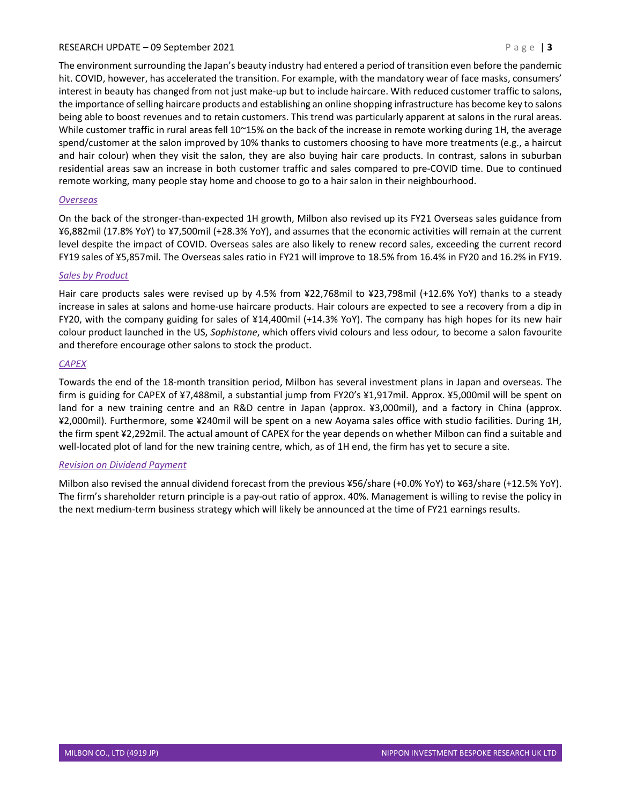### RESEARCH UPDATE – 09 September 2021  $P \text{ a ge } | \textbf{3}$

The environment surrounding the Japan's beauty industry had entered a period of transition even before the pandemic hit. COVID, however, has accelerated the transition. For example, with the mandatory wear of face masks, consumers' interest in beauty has changed from not just make-up but to include haircare. With reduced customer traffic to salons, the importance of selling haircare products and establishing an online shopping infrastructure has become key to salons being able to boost revenues and to retain customers. This trend was particularly apparent at salons in the rural areas. While customer traffic in rural areas fell 10~15% on the back of the increase in remote working during 1H, the average spend/customer at the salon improved by 10% thanks to customers choosing to have more treatments (e.g., a haircut and hair colour) when they visit the salon, they are also buying hair care products. In contrast, salons in suburban residential areas saw an increase in both customer traffic and sales compared to pre-COVID time. Due to continued remote working, many people stay home and choose to go to a hair salon in their neighbourhood.

# **Overseas**

On the back of the stronger-than-expected 1H growth, Milbon also revised up its FY21 Overseas sales guidance from ¥6,882mil (17.8% YoY) to ¥7,500mil (+28.3% YoY), and assumes that the economic activities will remain at the current level despite the impact of COVID. Overseas sales are also likely to renew record sales, exceeding the current record FY19 sales of ¥5,857mil. The Overseas sales ratio in FY21 will improve to 18.5% from 16.4% in FY20 and 16.2% in FY19.

### Sales by Product

Hair care products sales were revised up by 4.5% from ¥22,768mil to ¥23,798mil (+12.6% YoY) thanks to a steady increase in sales at salons and home-use haircare products. Hair colours are expected to see a recovery from a dip in FY20, with the company guiding for sales of ¥14,400mil (+14.3% YoY). The company has high hopes for its new hair colour product launched in the US, Sophistone, which offers vivid colours and less odour, to become a salon favourite and therefore encourage other salons to stock the product.

### CAPEX

Towards the end of the 18-month transition period, Milbon has several investment plans in Japan and overseas. The firm is guiding for CAPEX of ¥7,488mil, a substantial jump from FY20's ¥1,917mil. Approx. ¥5,000mil will be spent on land for a new training centre and an R&D centre in Japan (approx. ¥3,000mil), and a factory in China (approx. ¥2,000mil). Furthermore, some ¥240mil will be spent on a new Aoyama sales office with studio facilities. During 1H, the firm spent ¥2,292mil. The actual amount of CAPEX for the year depends on whether Milbon can find a suitable and well-located plot of land for the new training centre, which, as of 1H end, the firm has yet to secure a site.

### Revision on Dividend Payment

Milbon also revised the annual dividend forecast from the previous ¥56/share (+0.0% YoY) to ¥63/share (+12.5% YoY). The firm's shareholder return principle is a pay-out ratio of approx. 40%. Management is willing to revise the policy in the next medium-term business strategy which will likely be announced at the time of FY21 earnings results.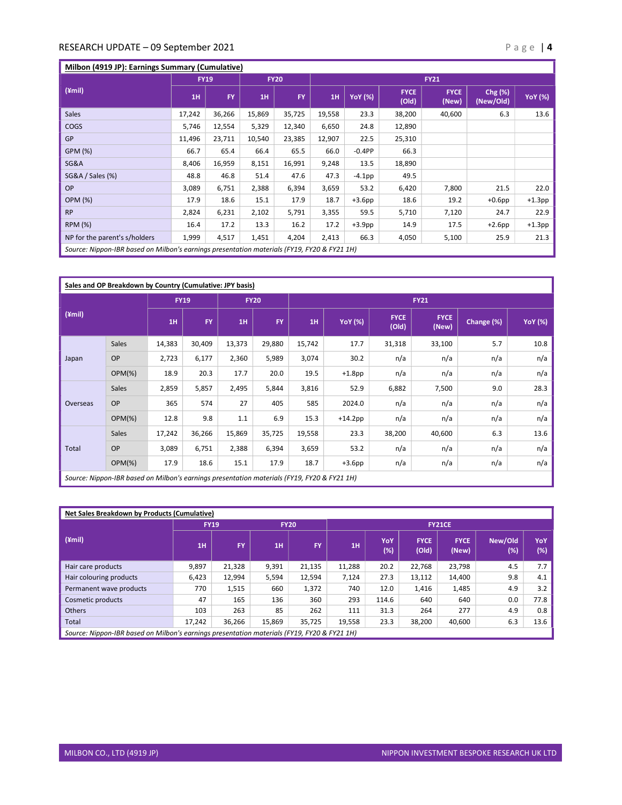# RESEARCH UPDATE – 09 September 2021 and the set of the set of the set of the set of the set of the set of the set of the set of the set of the set of the set of the set of the set of the set of the set of the set of the se

# Milbon (4919 JP): Earnings Summary (Cumulative)

|                                                                                             | <b>FY19</b> |           | <b>FY20</b> |           | <b>FY21</b> |                |                      |                      |                      |                |  |
|---------------------------------------------------------------------------------------------|-------------|-----------|-------------|-----------|-------------|----------------|----------------------|----------------------|----------------------|----------------|--|
| $(\text{ymi})$                                                                              | 1H          | <b>FY</b> | 1H          | <b>FY</b> | 1H          | <b>YoY</b> (%) | <b>FYCE</b><br>(Old) | <b>FYCE</b><br>(New) | Chg (%)<br>(New/Old) | <b>YoY</b> (%) |  |
| <b>Sales</b>                                                                                | 17,242      | 36,266    | 15,869      | 35,725    | 19,558      | 23.3           | 38,200               | 40,600               | 6.3                  | 13.6           |  |
| <b>COGS</b>                                                                                 | 5,746       | 12,554    | 5,329       | 12,340    | 6,650       | 24.8           | 12,890               |                      |                      |                |  |
| <b>GP</b>                                                                                   | 11,496      | 23,711    | 10,540      | 23,385    | 12,907      | 22.5           | 25,310               |                      |                      |                |  |
| GPM (%)                                                                                     | 66.7        | 65.4      | 66.4        | 65.5      | 66.0        | $-0.4PP$       | 66.3                 |                      |                      |                |  |
| <b>SG&amp;A</b>                                                                             | 8,406       | 16,959    | 8,151       | 16,991    | 9,248       | 13.5           | 18,890               |                      |                      |                |  |
| SG&A / Sales (%)                                                                            | 48.8        | 46.8      | 51.4        | 47.6      | 47.3        | $-4.1$ pp      | 49.5                 |                      |                      |                |  |
| <b>OP</b>                                                                                   | 3,089       | 6,751     | 2,388       | 6,394     | 3,659       | 53.2           | 6,420                | 7,800                | 21.5                 | 22.0           |  |
| <b>OPM (%)</b>                                                                              | 17.9        | 18.6      | 15.1        | 17.9      | 18.7        | $+3.6$ pp      | 18.6                 | 19.2                 | $+0.6$ pp            | $+1.3$ pp      |  |
| <b>RP</b>                                                                                   | 2,824       | 6,231     | 2,102       | 5,791     | 3,355       | 59.5           | 5,710                | 7,120                | 24.7                 | 22.9           |  |
| <b>RPM (%)</b>                                                                              | 16.4        | 17.2      | 13.3        | 16.2      | 17.2        | $+3.9$ pp      | 14.9                 | 17.5                 | $+2.6$ pp            | $+1.3$ pp      |  |
| NP for the parent's s/holders                                                               | 1,999       | 4,517     | 1,451       | 4,204     | 2,413       | 66.3           | 4,050                | 5,100                | 25.9                 | 21.3           |  |
| Source: Nippon-IBR based on Milbon's earnings presentation materials (FY19, FY20 & FY21 1H) |             |           |             |           |             |                |                      |                      |                      |                |  |

| Sales and OP Breakdown by Country (Cumulative: JPY basis)                                   |           |             |           |             |           |             |                |                      |                      |            |                |  |  |
|---------------------------------------------------------------------------------------------|-----------|-------------|-----------|-------------|-----------|-------------|----------------|----------------------|----------------------|------------|----------------|--|--|
| $(\angle mii)$                                                                              |           | <b>FY19</b> |           | <b>FY20</b> |           | <b>FY21</b> |                |                      |                      |            |                |  |  |
|                                                                                             |           | 1H          | <b>FY</b> | 1H          | <b>FY</b> | 1H          | <b>YoY</b> (%) | <b>FYCE</b><br>(Old) | <b>FYCE</b><br>(New) | Change (%) | <b>YoY</b> (%) |  |  |
| Japan                                                                                       | Sales     | 14,383      | 30,409    | 13,373      | 29,880    | 15,742      | 17.7           | 31,318               | 33,100               | 5.7        | 10.8           |  |  |
|                                                                                             | OP        | 2,723       | 6,177     | 2,360       | 5,989     | 3,074       | 30.2           | n/a                  | n/a                  | n/a        | n/a            |  |  |
|                                                                                             | $OPM(\%)$ | 18.9        | 20.3      | 17.7        | 20.0      | 19.5        | $+1.8$ pp      | n/a                  | n/a                  | n/a        | n/a            |  |  |
| Overseas                                                                                    | Sales     | 2,859       | 5,857     | 2,495       | 5,844     | 3,816       | 52.9           | 6,882                | 7,500                | 9.0        | 28.3           |  |  |
|                                                                                             | OP        | 365         | 574       | 27          | 405       | 585         | 2024.0         | n/a                  | n/a                  | n/a        | n/a            |  |  |
|                                                                                             | $OPM(\%)$ | 12.8        | 9.8       | 1.1         | 6.9       | 15.3        | $+14.2$ pp     | n/a                  | n/a                  | n/a        | n/a            |  |  |
| Total                                                                                       | Sales     | 17,242      | 36,266    | 15,869      | 35,725    | 19,558      | 23.3           | 38,200               | 40,600               | 6.3        | 13.6           |  |  |
|                                                                                             | OP        | 3,089       | 6,751     | 2,388       | 6,394     | 3,659       | 53.2           | n/a                  | n/a                  | n/a        | n/a            |  |  |
|                                                                                             | $OPM(\%)$ | 17.9        | 18.6      | 15.1        | 17.9      | 18.7        | $+3.6$ pp      | n/a                  | n/a                  | n/a        | n/a            |  |  |
| Source: Nippon-IBR based on Milbon's earnings presentation materials (FY19, FY20 & FY21 1H) |           |             |           |             |           |             |                |                      |                      |            |                |  |  |

| Net Sales Breakdown by Products (Cumulative)                                                |             |           |             |        |               |            |                      |                      |                |            |  |
|---------------------------------------------------------------------------------------------|-------------|-----------|-------------|--------|---------------|------------|----------------------|----------------------|----------------|------------|--|
| $(\text{ymi})$                                                                              | <b>FY19</b> |           | <b>FY20</b> |        | <b>FY21CE</b> |            |                      |                      |                |            |  |
|                                                                                             | 1H          | <b>FY</b> | 1H          | FY.    | 1H            | YoY<br>(%) | <b>FYCE</b><br>(Old) | <b>FYCE</b><br>(New) | New/Old<br>(%) | YoY<br>(%) |  |
| Hair care products                                                                          | 9,897       | 21,328    | 9,391       | 21.135 | 11.288        | 20.2       | 22.768               | 23,798               | 4.5            | 7.7        |  |
| Hair colouring products                                                                     | 6,423       | 12,994    | 5,594       | 12,594 | 7,124         | 27.3       | 13,112               | 14,400               | 9.8            | 4.1        |  |
| Permanent wave products                                                                     | 770         | 1,515     | 660         | 1,372  | 740           | 12.0       | 1,416                | 1,485                | 4.9            | 3.2        |  |
| Cosmetic products                                                                           | 47          | 165       | 136         | 360    | 293           | 114.6      | 640                  | 640                  | 0.0            | 77.8       |  |
| Others                                                                                      | 103         | 263       | 85          | 262    | 111           | 31.3       | 264                  | 277                  | 4.9            | 0.8        |  |
| Total                                                                                       | 17.242      | 36,266    | 15,869      | 35,725 | 19,558        | 23.3       | 38,200               | 40,600               | 6.3            | 13.6       |  |
| Source: Nippon-IBR based on Milbon's earnings presentation materials (FY19, FY20 & FY21 1H) |             |           |             |        |               |            |                      |                      |                |            |  |